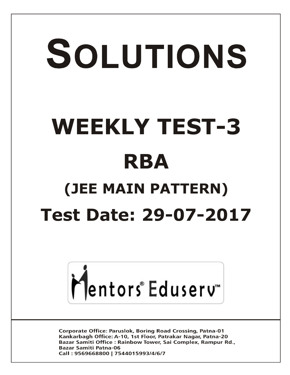# SOLUTIONS **WEEKLY TEST-3 RBA (JEE MAIN PATTERN) Test Date: 29-07-2017**



**Corporate Office: Paruslok, Boring Road Crossing, Patna-01** Kankarbagh Office: A-10, 1st Floor, Patrakar Nagar, Patna-20 Bazar Samiti Office: Rainbow Tower, Sai Complex, Rampur Rd., **Bazar Samiti Patna-06** Call: 9569668800 | 7544015993/4/6/7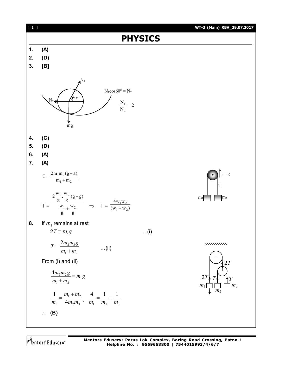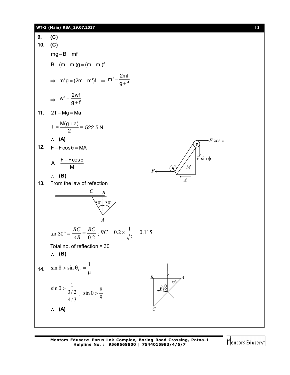#### **WT-3 (Main) RBA\_29.07.2017** [ **3** ]

**9. (C) 10. (C)**  $mg - B = mf$  $B - (m - m')g = (m - m')f$  $\Rightarrow$  m'g = (2m – m')f  $\Rightarrow$  m' =  $\frac{2\text{m}}{n+1}$ g + f  $=$  $^{+}$  $\Rightarrow$  W' =  $\frac{2wt}{g+1}$  $g + f$  $=$  $^{+}$ **11.**  $2T - Mg = Ma$  $T = \frac{M(g+a)}{2}$ 2  $=\frac{M(g+a)}{2}=522.5 N$  **(A) 12.**  $F - F\cos\theta = MA$  $A = \frac{F - F \cos}{H}$ M  $=\frac{F-F\cos\phi}{M}$  $\downarrow$ <br>*F* sin  $\phi$ *M F A*  $\rightarrow$ F cos  $\phi$  **(B) 13.** From the law of refection *C*  $\S 0^\circ$  30° *A B* tan30° =  $\frac{ }{AB}$  =  $\frac{ }{0.2}$ *BC AB*  $\frac{BC}{(12)} = \frac{BC}{0.2}$ ;  $BC = 0.2 \times \frac{1}{\sqrt{2}} = 0.115$ 3  $BC = 0.2 \times \frac{1}{\sqrt{2}}$ Total no. of reflection = 30 **(B) 14.**  $\sin \theta > \sin \theta_c = \frac{1}{\mu}$  $\sin \theta$  >  $\sin \theta$ <sub>*C*</sub> =  $\frac{1}{10}$  $4/3$  $3/2$  $\sin \theta > \frac{1}{24}$  $\sin \theta > \frac{1}{9}$  $\sin \theta > \frac{8}{9}$ *C*  $\theta$  $B$ <sup>*A*</sup>  $\theta$  $\theta$ **(A)**

Mentors Eduserv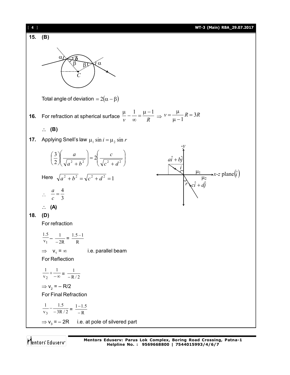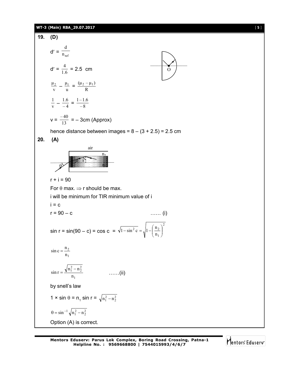#### **WT-3 (Main) RBA\_29.07.2017** [ **5** ]

**19. (D)**  $d' = \frac{1}{n_{ref}}$ d  $d' = \frac{4}{1.6} = 2.5$  cm  $\qquad \qquad 0$ v  $\frac{\mu_2}{\mathrm{v}} - \frac{\mu_1}{\mathrm{u}}$  $\frac{\mu_1}{u} = \frac{(\mu_2 - \mu_3)}{R}$  $(\mu_2 - \mu_1)$ v  $\frac{1}{\rm v} - \frac{1.6}{-4}$  $\frac{1.6}{-4} = \frac{1-1.6}{-8}$  $1 - 1.6$  $v = \frac{-40}{13} = -3$ cm (Approx) hence distance between images =  $8 - (3 + 2.5) = 2.5$  cm **20. (A)**  $\lim_{\theta \to 0}$ 9 n1 air r1 i  $r + i = 90$ For  $\theta$  max.  $\Rightarrow$  r should be max. i will be minimum for TIR minimum value of i  $i = c$  $r = 90 - c$  …… (i)  $sin r = sin(90 - c) = cos c =$ 2 1  $^{2}$  c  $|1 |$   $\frac{11}{2}$ n  $\sqrt{1-\sin^2 c} = \sqrt{1-\left(\frac{n_2}{n_1}\right)^2}$ J  $\mathcal{L}$  $\overline{\phantom{a}}$  $\overline{\mathcal{L}}$  $\overline{-\sin^2 c} = \sqrt{1 - \left( \frac{1}{2} \right)^2}$ 1 2 n  $\sin c = \frac{n}{2}$ 1  $_1^2 - n_2^2$ n  $\sin r = \frac{\sqrt{n_1^2 - n}}{n_1^2}$  ……(ii) by snell's law  $1 \times \sin \theta = \mathsf{n}_1 \sin \mathsf{r} = \sqrt{\mathsf{n}_1^2 - \mathsf{n}_2^2}$  $\theta = \sin^{-1} \sqrt{n_1^2 - n_2^2}$ Option (A) is correct.

Mentors Eduserv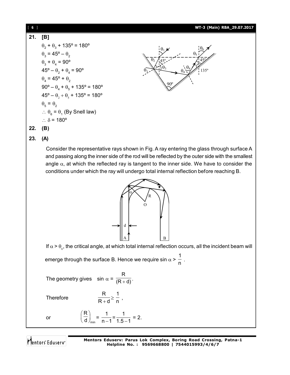

**23. (A)**

Consider the representative rays shown in Fig. A ray entering the glass through surface A and passing along the inner side of the rod will be reflected by the outer side with the smallest angle  $\alpha$ , at which the reflected ray is tangent to the inner side. We have to consider the conditions under which the ray will undergo total internal reflection before reaching B.



If  $\alpha$  >  $\theta_{\rm c}$ , the critical angle, at which total internal reflection occurs, all the incident beam will emerge through the surface B. Hence we require sin  $\alpha$  > 1  $\frac{1}{n}$  .

The geometry gives sin  $\alpha$  = R  $\overline{(R+d)}$ .

min

 $\left(\frac{R}{d}\right)_{min} = \frac{1}{n-1}$ 

R

**Therefore** 

$$
\frac{R}{R+d} \geq \frac{1}{n} ,
$$

 $\frac{1}{n-1}$ =

1  $\frac{1}{1.5-1}$  = 2.

or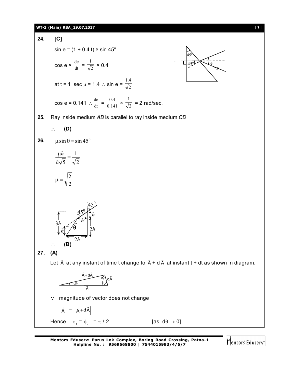#### **WT-3 (Main) RBA\_29.07.2017** [ **7** ]



**Mentors Eduserv: Parus Lok Complex, Boring Road Crossing, Patna-1 Helpline No. : 9569668800 | 7544015993/4/6/7**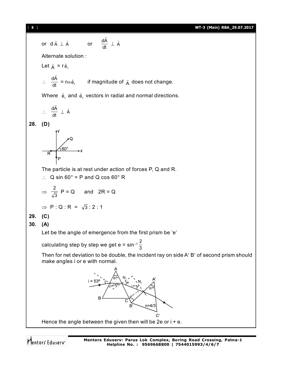[ **8** ] **WT-3 (Main) RBA\_29.07.2017**

or d A A or dt dA A Alternate solution : Let A = r e<sup>r</sup> ˆ dt dA = re<sup>t</sup> ˆ if magnitude of A does not change. Where e<sup>r</sup> ˆ and e<sup>t</sup> ˆ vectors in radial and normal directions. dt dA A **28. (D)** The particle is at rest under action of forces P, Q and R. Q sin 60° = P and Q cos 60° R <sup>3</sup> 2 P = Q and 2R = Q P : Q : R = 3 : 2 : 1 **29. (C) 30. (A)** Let be the angle of emergence from the first prism be 'e' calculating step by step we get e = sin–1 3 2 Then for net deviation to be double, the incident ray on side A B of second prism should make angles i or e with normal. Hence the angle between the given then will be 2e or i + e.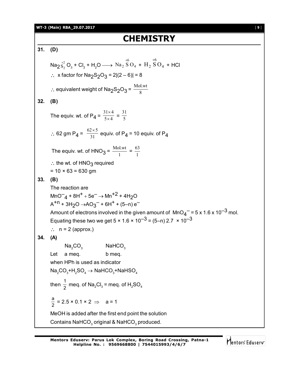**WT-3 (Main) RBA\_29.07.2017** [ **9** ]

## **CHEMISTRY**

**31. (D)**  $\text{Na}_2 \overset{+2}{\text{S}_2} \text{O}_3 + \text{Cl}_2 + \text{H}_2\text{O} \longrightarrow \text{Na}_2 \overset{\sim}{\text{S}} \text{O}_4$ 6 Na <sup>2</sup> S O +  $H_2$  SO<sub>4</sub> 6  $_{\rm H_2}$  S O  $^{+}$  + HCl ∴ x factor for Na<sub>2</sub>S<sub>2</sub>O<sub>3</sub> = 2 $|(2-6)| = 8$ ∴ equivalent weight of Na<sub>2</sub>S<sub>2</sub>O<sub>3</sub> =  $\frac{\text{Mol.wt}}{8}$ **32. (B)** The equiv. wt. of P<sub>4</sub> =  $\frac{31\times4}{5\times4}$  $\times$  $\frac{x}{4} = \frac{31}{5}$ ∴ 62 gm P<sub>4</sub> =  $\frac{62 \times 5}{31}$  equiv. of P<sub>4</sub> = 10 equiv. of P<sub>4</sub> The equiv. wt. of  $HNO_3 = \frac{1}{1}$  $\frac{\text{Mol.wt}}{1} = \frac{63}{1}$ 63  $\therefore$  the wt. of HNO<sub>3</sub> required  $= 10 \times 63 = 630$  gm **33. (B)** The reaction are  $\mathsf{MnO}^-_\mathsf{4}$  + 8H<sup>+</sup> + 5e<sup>-</sup>  $\rightarrow$  Mn<sup>+2</sup> + 4H<sub>2</sub>O  $A^{+n}$  + 3H<sub>2</sub>O  $\rightarrow$ AO<sub>3</sub><sup>-</sup> + 6H<sup>+</sup> + (5–n) e<sup>-</sup> Amount of electrons involved in the given amount of  $\textsf{MnO}_4\texttt{T}$  = 5 x 1.6 x 10 $^{-3}$  mol. Equating these two we get  $5 \times 1.6 \times 10^{-3} = (5-n) 2.7 \times 10^{-3}$  $\therefore$  n = 2 (approx.) **34. (A)**  $Na<sub>2</sub>CO<sub>3</sub>$  NaHCO<sub>3</sub> Let a meg. b meg. when HPh is used as indicator  $\mathsf{Na}_2\mathrm{CO}_3^+ \mathrm{H}_2\mathrm{SO}_4 \rightarrow \mathsf{NaHCO}_3^+ \mathrm{NaHSO}_4$ then  $\frac{1}{2}$  meq. of Na<sub>2</sub>Cl<sub>3</sub> = meq. of H<sub>2</sub>SO<sub>4</sub> a  $\frac{a}{2}$  = 2.5 × 0.1 × 2  $\Rightarrow$  a = 1 MeOH is added after the first end point the solution Contains NaHCO $_{\tiny 3}$  original & NaHCO $_{\tiny 3}$  produced.

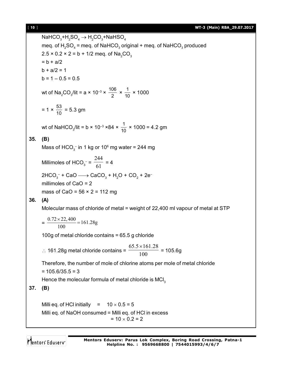$\mathsf{NaHCO}_{3}^{}\text{+H}_{2}\mathsf{SO}_{4}^{}\rightarrow\mathsf{H}_{2}^{}\mathsf{CO}_{3}^{}\text{+NaHSO}_{4}^{}$ meq. of  ${\sf H_2SO_4}$  = meq. of NaHCO $_3$  original + meq. of NaHCO $_3$  produced  $2.5 \times 0.2 \times 2 = b + 1/2$  meq. of Na<sub>2</sub>CO<sub>3</sub>  $= b + a/2$  $b + a/2 = 1$  $b = 1 - 0.5 = 0.5$ wt of Na<sub>2</sub>CO<sub>3</sub>/lit = a × 10<sup>-3</sup> ×  $\frac{106}{2}$  $\frac{06}{2} \times \frac{1}{10} \times 1000$  $= 1 \times \frac{53}{10} = 5.3$  gm wt of NaHCO<sub>3</sub>/lit = b × 10<sup>-3</sup> ×84 ×  $\frac{1}{10}$  × 1000 = 4.2 gm **35. (B)** Mass of  $\mathsf{HCO}_3^-$  in 1 kg or 10 $^\circ$  mg water = 244 mg Millimoles of HCO<sub>3</sub> =  $\frac{1}{61}$ 244  $= 4$  $2\text{HCO}_3^-$  + CaO  $\longrightarrow$  CaCO $_3$  + H<sub>2</sub>O + CO<sub>2</sub> + 2emillimoles of CaO = 2 mass of CaO =  $56 \times 2 = 112$  mg **36. (A)** Molecular mass of chloride of metal = weight of 22,400 ml vapour of metal at STP  $=\frac{0.72 \times 22,400}{100} = 161.28g$ 100  $\frac{\times 22,400}{100}$ 100g of metal chloride contains = 65.5 g chloride  $\therefore$  161.28g metal chloride contains =  $\frac{100}{100}$  $65.5\times161.28$  = 105.6g Therefore, the number of mole of chlorine atoms per mole of metal chloride  $= 105.6/35.5 = 3$ Hence the molecular formula of metal chloride is  $MCI<sub>3</sub>$ **37. (B)** Milli eq. of HCl initially =  $10 \times 0.5 = 5$ Milli eq. of NaOH consumed = Milli eq. of HCl in excess  $= 10 \times 0.2 = 2$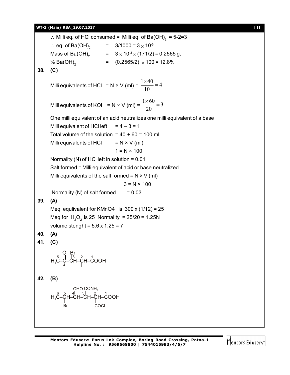#### **WT-3 (Main) RBA\_29.07.2017** [ **11** ]

 $\therefore$  Milli eq. of HCl consumed = Milli eq. of Ba(OH)<sub>2</sub> = 5-2=3  $\therefore$  eq. of Ba(OH)<sub>2</sub>  $= 3/1000 = 3 \times 10^{-3}$ Mass of Ba(OH)<sub>2</sub> =  $3 \times 10^{3} \times (171/2) = 0.2565$  g. % Ba(OH) $_2$  $=$  (0.2565/2)  $\times$  100 = 12.8% **38. (C)** Milli equivalents of HCl = N × V (ml) =  $\frac{1 \times 40}{10}$  = 4 10  $\frac{\times 40}{10}$ Milli equivalents of KOH = N × V (ml) =  $\frac{1 \times 60}{20}$  = 3 20  $\frac{\times 60}{20}$ One milli equivalent of an acid neutralizes one milli equivalent of a base Milli equivalent of HCl left  $= 4 - 3 = 1$ Total volume of the solution =  $40 + 60 = 100$  ml Milli equivalents of HCl  $= N \times V$  (ml)  $1 = N \times 100$ Normality (N) of HCl left in solution = 0.01 Salt formed = Milli equivalent of acid or base neutralized Milli equivalents of the salt formed =  $N \times V$  (ml)  $3 = N \times 100$ Normality (N) of salt formed  $= 0.03$ **39. (A)** Meg equlivalent for KMnO4 is  $300 \times (1/12) = 25$ Meq for  $H_2O_2$  is 25 Normality = 25/20 = 1.25N volume stenght =  $5.6 \times 1.25 = 7$ **40. (A) 41. (C)** H3C–Ċ–CH–CH–COOH I O Br<br>5 || 13 4 3 2 1 **42. (B)** H $_{\rm 3}$ C–CH–CH–CH–CH–COOH I CHO Br COCl  $\text{COMH}_2$  $6$  5 4 3 2 2

Mentors Eduserv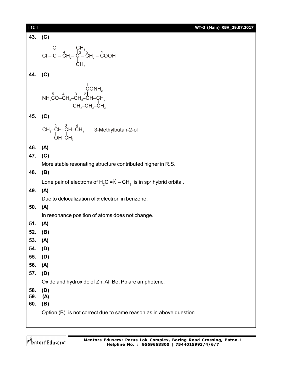| $[12]$     | WT-3 (Main) RBA_29.07.2017                                                                                                                           |
|------------|------------------------------------------------------------------------------------------------------------------------------------------------------|
| 43. (C)    |                                                                                                                                                      |
|            | CI – C – CH <sub>2</sub> – C <sub>13</sub><br>CI – C – CH <sub>2</sub> – C – CH <sub>2</sub> – COOH<br>CH <sub>3</sub>                               |
| 44. (C)    |                                                                                                                                                      |
|            | $\begin{matrix} 1 \\ \text{CONH}_2 \\ \text{NH}_2\text{CO--CH}_2\text{-CH}_2\text{-CH--CH}_2 \\ \text{CH}_3\text{-CH}_2\text{-CH}_2 \\ \end{matrix}$ |
| 45. (C)    |                                                                                                                                                      |
|            | $\text{CH}_{3}$ <sup>-</sup> CH-CH-CH <sub>3</sub> 3-Methylbutan-2-ol<br>OH CH <sub>3</sub>                                                          |
| 46.        | (A)                                                                                                                                                  |
| 47.        | (C)                                                                                                                                                  |
|            | More stable resonating structure contributed higher in R.S.                                                                                          |
| 48.        | (B)                                                                                                                                                  |
|            | Lone pair of electrons of H <sub>2</sub> C = $N - CH_3$ is in sp <sup>2</sup> hybrid orbital.                                                        |
| 49.        | (A)                                                                                                                                                  |
|            | Due to delocalization of $\pi$ electron in benzene.                                                                                                  |
| 50.        | (A)                                                                                                                                                  |
|            | In resonance position of atoms does not change.                                                                                                      |
| 51.        | (A)                                                                                                                                                  |
| 52.        | (B)                                                                                                                                                  |
| 53.        | (A)                                                                                                                                                  |
| 54.        | (D)                                                                                                                                                  |
| 55.<br>56. | (D)                                                                                                                                                  |
| 57.        | (A)<br>(D)                                                                                                                                           |
|            | Oxide and hydroxide of Zn, Al, Be, Pb are amphoteric.                                                                                                |
| 58.        | (D)                                                                                                                                                  |
| 59.        | (A)                                                                                                                                                  |
| 60.        | (B)                                                                                                                                                  |
|            | Option (B). is not correct due to same reason as in above question                                                                                   |
|            |                                                                                                                                                      |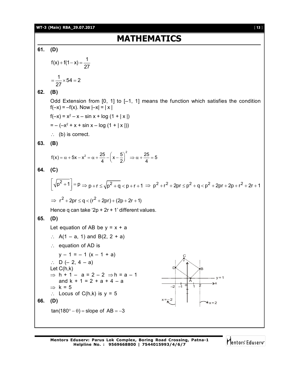#### **WT-3 (Main) RBA\_29.07.2017** [ **13** ]

## **MATHEMATICS**

**61. (D)**  $f(x) + f(1-x) = \frac{1}{2}$ 27  $+ f(1-x) = \frac{1}{2}$  × 54 = 2 27  $=\frac{1}{25} \times 54 = 2$ **62. (B)** Odd Extension from [0, 1] to [–1, 1] means the function which satisfies the condition  $f(-x) = -f(x)$ . Now  $|-x| = |x|$  $f(-x) = x^2 - x - \sin x + \log (1 + |x|)$  $= -(-x^2 + x + \sin x - \log (1 + |x|))$  $\therefore$  (b) is correct. **63. (B)**  $f(x) = \alpha + 5x - x^2 = \alpha + \frac{25}{4} - \left(x - \frac{5}{2}\right)^2 \Rightarrow \alpha + \frac{25}{4} = 5$  $= \alpha + 5x - x^2 = \alpha + \frac{25}{4} - \left(x - \frac{5}{2}\right)^2 \Rightarrow \alpha + \frac{25}{4} = \frac{35}{4}$ **64. (C)**  $\left[\sqrt{p^2+1}\right] = p \Rightarrow p + r \le \sqrt{p^2+q} < p+r+1 \Rightarrow p^2 + r^2 + 2pr \le p^2 + q < p^2 + 2pr + 2p + r^2 + 2r + 1$  $\Rightarrow$  r<sup>2</sup> + 2pr  $\leq$  g  $<($  r<sup>2</sup> + 2pr) + (2p + 2r + 1) Hence q can take '2p + 2r + 1' different values. **65. (D)** Let equation of AB be  $y = x + a$ :  $A(1 - a, 1)$  and B(2, 2 + a)  $\therefore$  equation of AD is  $y - 1 = -1$   $(x - 1 + a)$ ∴ D (– 2, 4 – a) Let C(h,k)  $\Rightarrow$  h + 1 – a = 2 – 2  $\Rightarrow$  h = a – 1 x  $-2$   $-1$  0 1 2  $x = -2$  $x = 2$ o A DK | >B C r and  $k + 1 = 2 + a + 4 - a$  $\Rightarrow$  k = 5  $\therefore$  Locus of C(h,k) is  $y = 5$ **66. (D)**  $tan(180^\circ - \theta) = slope of AB = -3$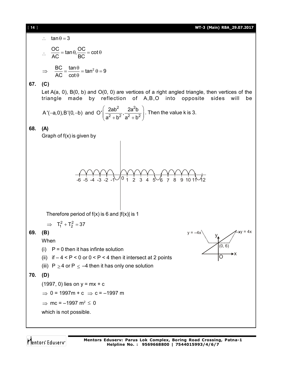#### [ **14** ] **WT-3 (Main) RBA\_29.07.2017**



Mentors Eduserv

**Mentors Eduserv: Parus Lok Complex, Boring Road Crossing, Patna-1 Helpline No. : 9569668800 | 7544015993/4/6/7**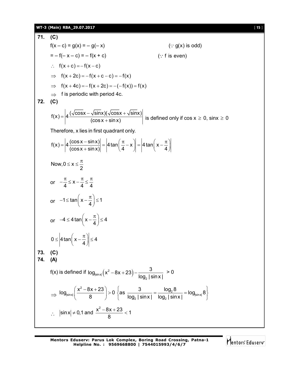#### **WT-3 (Main) RBA\_29.07.2017** [ **15** ]

**71. (C)**  $f(x - c) = g(x) = -g(-x)$  (: g(x) is odd)  $= -f(-x - c) = -f(x + c)$  (: f is even)  $\therefore$  f(x + c) = -f(x - c)  $\Rightarrow$  f(x+2c) = -f(x+c-c) = -f(x)  $\implies$  f(x + 4c) = - f(x + 2c) = -(-f(x)) = f(x)  $\Rightarrow$  f is periodic with period 4c. **72. (C)**  $f(x) = \left| 4 \frac{(\sqrt{\cos x} - \sqrt{\sin x})(\sqrt{\cos x} + \sqrt{\sin x})}{(x- \sqrt{\cos x})^2} \right|$  $(\cos x + \sin x)$  $=\left|4\frac{(\sqrt{\mathsf{cosx}-\sqrt{\mathsf{sinx}}})(\sqrt{\mathsf{cosx}+\sqrt{\mathsf{cosx}+\sqrt{\mathsf{cosx}+\sqrt{\mathsf{cosx}+\sqrt{\mathsf{cosx}+\sqrt{\mathsf{cosx}+\sqrt{\mathsf{cosx}+\sqrt{\mathsf{cosx}+\sqrt{\mathsf{cosx}+\sqrt{\mathsf{cosx}+\sqrt{\mathsf{cosx}+\sqrt{\mathsf{cosx}+\sqrt{\mathsf{cosx}+\sqrt{\mathsf{cosx}+\sqrt{\mathsf{cosx}+\sqrt{\mathsf{cosx}+\sqrt{\mathsf{cosx}+\sqrt{\mathsf{cosx}+\sqrt{\mathsf{cosx}+\sqrt{\mathsf{cosx}+\sqrt{\mathsf{cosx}+\sqrt{\mathsf$  $\overline{1 + \sin x}$  is defined only if  $\cos x \ge 0$ ,  $\sin x \ge 0$ Therefore, x lies in first quadrant only.  $f(x) = \left|4\frac{\cos x - \sin x}{t}\right| = \left|4\tan\left(\frac{\pi}{4} - x\right)\right| = \left|4\tan\left(x\right)\right|$  $\left(\cos x + \sin x\right)$   $\left|\begin{array}{cc} \cos x + \sin x & 4 \end{array}\right|$  $=\left|4\frac{(\cos x - \sin x)}{(\cos x + \sin x)}\right| = \left|4\tan\left(\frac{\pi}{4} - x\right)\right| = \left|4\tan\left(x - \frac{\pi}{4}\right)\right|$ Now,  $0 \leq x$ 2  $\leq x \leq \frac{\pi}{6}$ or  $-\frac{\pi}{4} \leq x - \frac{\pi}{4} \leq \frac{\pi}{4}$  $-\frac{\pi}{4} \leq x - \frac{\pi}{4} \leq \frac{\pi}{4}$ or  $-1 \leq \tan \left(x - \frac{\pi}{4}\right) \leq 1$  $-1 \leq \tan\left(x - \frac{\pi}{4}\right) \leq 1$ or  $-4 \leq 4 \tan \left(x - \frac{\pi}{4}\right) \leq 4$  $-4 \leq 4 \tan \left(x - \frac{\pi}{4}\right) \leq 4$ 0  $\le$  |4 tan| x –  $\frac{n}{4}$  ||  $\le$  4 4  $\leq 4\tan\left(x-\frac{\pi}{4}\right)\leq 4$ **73. (C) 74. (A)** f(x) is defined if  $\log_{\left|\sin x\right|}(x^2-8x+23)$ 2  $log_{sin x} (x^2 - 8x + 23) - \frac{3}{x^2 - 6}$ log $_{\flat}$  | sin x |  $_{\small \, \, \cdot \,}$  $-8x+23$ ) –  $\frac{9}{2}$  > 0  $\Rightarrow$ 2  $log_{\left|\sin x\right|}\left(\frac{x^2-8x+23}{8}\right)>0$  $\left(\frac{x^2-8x+23}{8}\right)$ >  $( 8)$  $\frac{20}{\sin x}$  =  $\log_{\left|\sin x\right|}$  $21$ <sup>2</sup>  $1 \times 1$ as  $\frac{3}{1} = \frac{\log_2 8}{1} = \log_{\text{lsin} \times 8} 8$  $\begin{cases} \text{as} & 3 \\ \text{log}_2 |\sin x| = \frac{\log_2 8}{\log_2 |\sin x|} = \log_{\sin x} 8 \end{cases}$  $\left[\begin{array}{cc} \log_2 |\sin x| & \log_2 |\sin x| & \cdots \end{array}\right]$  $\ddot{\cdot}$  $|\sin x| \neq 0,1$  and  $\frac{x^2 - 8x + 23}{2} < 1$ 8 ≠ 0,1 and  $\frac{x^2 - 8x + 23}{2}$  < 2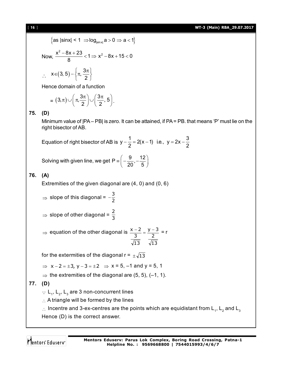[ **16** ] **WT-3 (Main) RBA\_29.07.2017**

$$
\left\{\text{as} \left|\text{sin}x\right| < 1 \right. \Rightarrow \log_{\left|\text{sin}x\right|} a > 0 \Rightarrow a < 1\right\}
$$

Now, 
$$
\frac{x^2 - 8x + 23}{8} < 1 \Rightarrow x^2 - 8x + 15 < 0
$$

$$
\therefore \quad x \in (3, 5) - \left\{\pi, \frac{3\pi}{2}\right\}
$$

Hence domain of a function

$$
= (3,\pi)\cup \left(\pi,\frac{3\pi}{2}\right)\cup \left(\frac{3\pi}{2},5\right).
$$

#### **75. (D)**

Minimum value of |PA – PB| is zero. It can be attained, if PA = PB. that means 'P' must lie on the right bisector of AB.

Equation of right bisector of AB is  $y - \frac{1}{2} = 2(x - 1)$  i.e.,  $y = 2x - \frac{3}{2}$ 2 2  $-\frac{1}{2}$  = 2(x - 1) i.e., y = 2x -

Solving with given line, we get P  $\equiv \left(-\frac{9}{22}, -\frac{12}{5}\right)$  $20^{\degree}$  5  $\equiv \left( -\frac{9}{20}, -\frac{12}{5} \right)$ 

### **76. (A)**

Extremities of the given diagonal are (4, 0) and (0, 6)

$$
\Rightarrow \text{ slope of this diagonal} = -\frac{3}{2}
$$

 $\Rightarrow$  slope of other diagonal =  $\frac{2}{3}$ 

 $\Rightarrow$  equation of the other diagonal is  $\frac{x-2}{2} = \frac{y-2}{2}$ 3 13 13 3  $\frac{-3}{2}$  = r

for the extermities of the diagonal  $r = \pm \sqrt{13}$ 

 $\Rightarrow$  x-2= $\pm$ 3, y-3= $\pm$ 2  $\Rightarrow$  x = 5, -1 and y = 5, 1

 $\Rightarrow$  the extremities of the diagonal are (5, 5), (-1, 1).

**77. (D)**

 $\therefore$  L<sub>1</sub>, L<sub>2</sub>, L<sub>3</sub> are 3 non-concurrent lines

 $\therefore$  A triangle will be formed by the lines

 $\therefore$  Incentre and 3-ex-centres are the points which are equidistant from L<sub>1</sub>, L<sub>2</sub> and L<sub>3</sub> Hence (D) is the correct answer.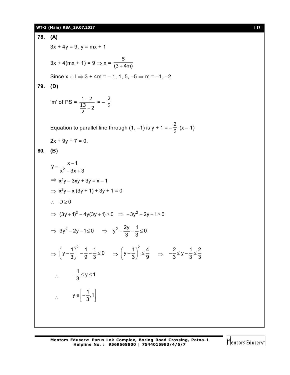#### **WT-3 (Main) RBA\_29.07.2017** [ **17** ]

**78. (A)**  $3x + 4y = 9$ ,  $y = mx + 1$  $3x + 4(mx + 1) = 9 \Rightarrow x = \frac{1}{(3 + 4m)}$ 5  $^{+}$ Since  $x \in I \Rightarrow 3 + 4m = -1, 1, 5, -5 \Rightarrow m = -1, -2$ **79. (D)** 'm' of PS =  $\frac{15}{2}$  – 2 13  $1 - 2$  $\overline{\phantom{0}}$  $\frac{-2}{2} = -\frac{2}{9}$ Equation to parallel line through (1, –1) is y + 1 =  $-\frac{2}{9}$  (x – 1)  $2x + 9y + 7 = 0$ . **80. (B)** 2  $y = \frac{x-1}{2}$  $x^2 - 3x + 3$  $=\frac{\mathsf{x}-\mathsf{x}}{2}$  $-3x + 3$  $\Rightarrow$  x<sup>2</sup>y - 3xy + 3y = x - 1  $\Rightarrow$  x<sup>2</sup>y – x (3y + 1) + 3y + 1 = 0  $\therefore$  D  $\geq$  0  $\Rightarrow$   $(3y+1)^2 - 4y(3y+1) \ge 0 \Rightarrow -3y^2 + 2y + 1 \ge 0$  $\Rightarrow$  3y<sup>2</sup> - 2y - 1 ≤ 0  $\Rightarrow$  y<sup>2</sup> -  $\frac{2y}{2}$  -  $\frac{1}{2}$  ≤ 0 3 3  $-\frac{27}{2}-\frac{1}{2}\leq 0$  $\Rightarrow$  $y - \frac{1}{2}$  $\Big)^2 - \frac{1}{2} - \frac{1}{2} \le 0$  $\left(y-\frac{1}{3}\right)^2 - \frac{1}{9} - \frac{1}{3} \le 0 \Rightarrow \left(y-\frac{1}{3}\right)^2 \le \frac{4}{9}$  $\left(y-\frac{1}{3}\right)^2 \le \frac{4}{9}$   $\Rightarrow \frac{2}{3} \le y-\frac{1}{3} \le \frac{2}{3}$  $3^{-7}$   $3^{-}$   $3^{-}$  $-\frac{2}{3} \leq y - \frac{1}{3} \leq \frac{1}{2}$  $\therefore$  $\frac{1}{2} \leq y \leq 1$ 3  $-\frac{1}{2} \leq y \leq 1$  $\mathcal{L}_{\bullet}$  $y \in \left[-\frac{1}{2}, 1\right]$ 3  $\in \left[-\frac{1}{3},1\right]$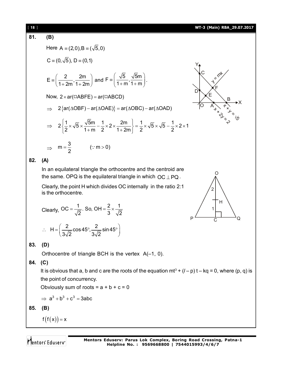#### [ **18** ] **WT-3 (Main) RBA\_29.07.2017**

$$
\overline{81. (B)}
$$

(B)  
\nHere 
$$
A = (2,0), B = (\sqrt{5},0)
$$
  
\n $C = (0,\sqrt{5}), D = (0,1)$   
\n $E = \left(\frac{2}{1+2m}, \frac{2m}{1+2m}\right)$  and  $F = \left(\frac{\sqrt{5}}{1+m}, \frac{\sqrt{5}m}{1+m}\right)$ .  
\nNow,  $2 \times ar(\square ABFE) = ar(\square ABCD)$   
\n $\Rightarrow 2\left\{ar(\triangle OBF) - ar(\triangle OAE)\right\} = ar(\triangle OBC) - ar(\triangle OAD)$   
\n $\Rightarrow 2\left\{\frac{1}{2} \times \sqrt{5} \times \frac{\sqrt{5}m}{1+m} - \frac{1}{2} \times 2 \times \frac{2m}{1+2m}\right\} = \frac{1}{2} \times \sqrt{5} \times \sqrt{5} - \frac{1}{2} \times 2 \times 1$ 

 $[2 \t1+m \t2 \t1+2m]$ 



2

 $\Omega$ 

1

 $P \xrightarrow{C} Q$ 

H

#### **82. (A)**

 $\Rightarrow$ 

In an equilateral triangle the orthocentre and the centroid are the same. OPQ is the equilateral triangle in which  $OC \perp PQ$ .

Clearly, the point H which divides OC internally in the ratio 2:1 is the orthocentre.

Clearly, OC = 
$$
\frac{1}{\sqrt{2}}
$$
. So, OH =  $\frac{2}{3} \times \frac{1}{\sqrt{2}}$ 

 $m = \frac{3}{2}$  (: m > 0)

 $=\frac{6}{2}$  (: m > 0

2

$$
\therefore H = \left(\frac{2}{3\sqrt{2}}\cos 45^\circ, \frac{2}{3\sqrt{2}}\sin 45^\circ\right)
$$

#### **83. (D)**

Orthocentre of triangle BCH is the vertex A(–1, 0).

**84. (C)**

It is obvious that a, b and c are the roots of the equation mt<sup>3</sup> +  $(l-p)$  t – kq = 0, where (p, q) is the point of concurrency.

Obviously sum of roots =  $a + b + c = 0$ 

$$
\Rightarrow a^3 + b^3 + c^3 = 3abc
$$

**85. (B)**

$$
f(f(x)) = x
$$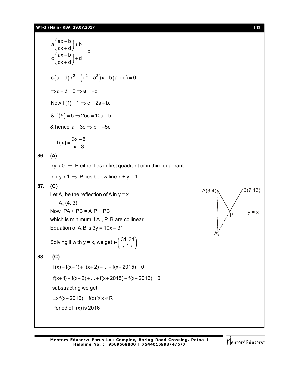$$
a\left(\frac{ax+b}{cx+d}\right)+b
$$
  
\n
$$
c\left(\frac{ax+b}{cx+d}\right)+d
$$
  
\n
$$
c(a+d)x^2+(d^2-a^2)x-b(a+d)=0
$$
  
\n⇒a+d=0 ⇒ a=-d  
\nNow, f(1)=1 ⇒ c = 2a+b.  
\n& f(5)=5 ⇒ 25c = 10a+b  
\n& hence a = 3c ⇒ b = -5c  
\n∴ f(x) =  $\frac{3x-5}{x-3}$   
\n86. (A)  
\nxy > 0 ⇒ P either lies in first quadrant or in third quadrant.  
\nx+y<1 ⇒ P lies below line x + y = 1  
\n87. (C)  
\nLet A, be the reflection of A in y = x  
\nA<sub>1</sub>(4, 3)  
\nNow PA + PB = A<sub>1</sub>P + PB  
\nwhich is minimum if A<sub>1</sub>, P, B are collinear.  
\nEquation of A<sub>1</sub>B is 3y = 10x – 31  
\nSolving it with y = x, we get P $\left(\frac{31}{7}, \frac{31}{7}\right)$   
\n88. (C)  
\nf(x)+f(x+1)+f(x+2)+...+f(x+2015)=0  
\nf(x+1)+f(x+2)+...+f(x+2015)+f(x+2016)=0  
\nsubtracting we get  
\n⇒ f(x+2016) = f(x) ∀ x ∈ R  
\nPeriod of f(x) is 2016



**Mentors Eduserv: Parus Lok Complex, Boring Road Crossing, Patna-1 Helpline No. : 9569668800 | 7544015993/4/6/7**